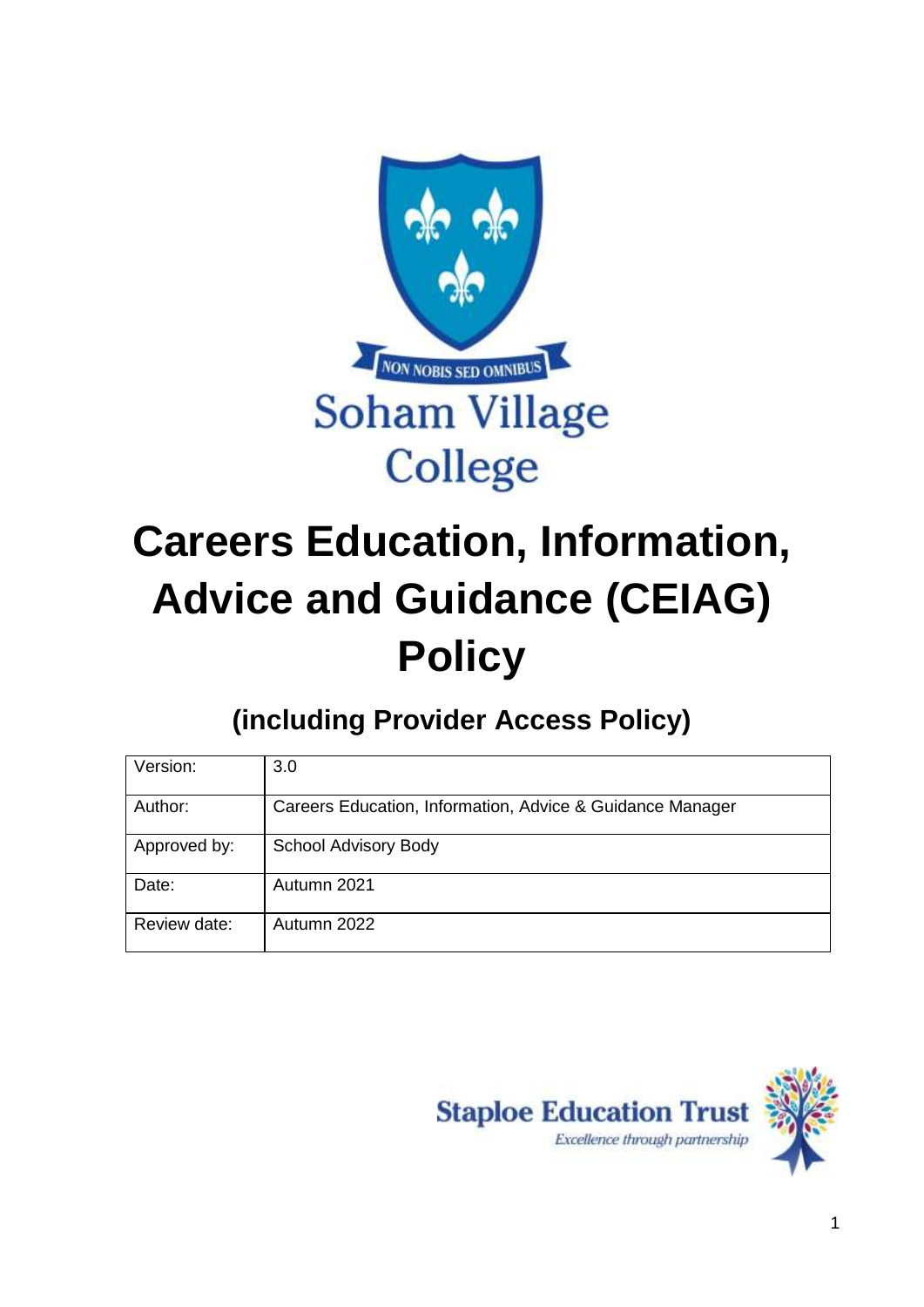

# **Careers Education, Information, Advice and Guidance (CEIAG) Policy**

**(including Provider Access Policy)**

| Version:     | 3.0                                                       |
|--------------|-----------------------------------------------------------|
| Author:      | Careers Education, Information, Advice & Guidance Manager |
| Approved by: | <b>School Advisory Body</b>                               |
| Date:        | Autumn 2021                                               |
| Review date: | Autumn 2022                                               |

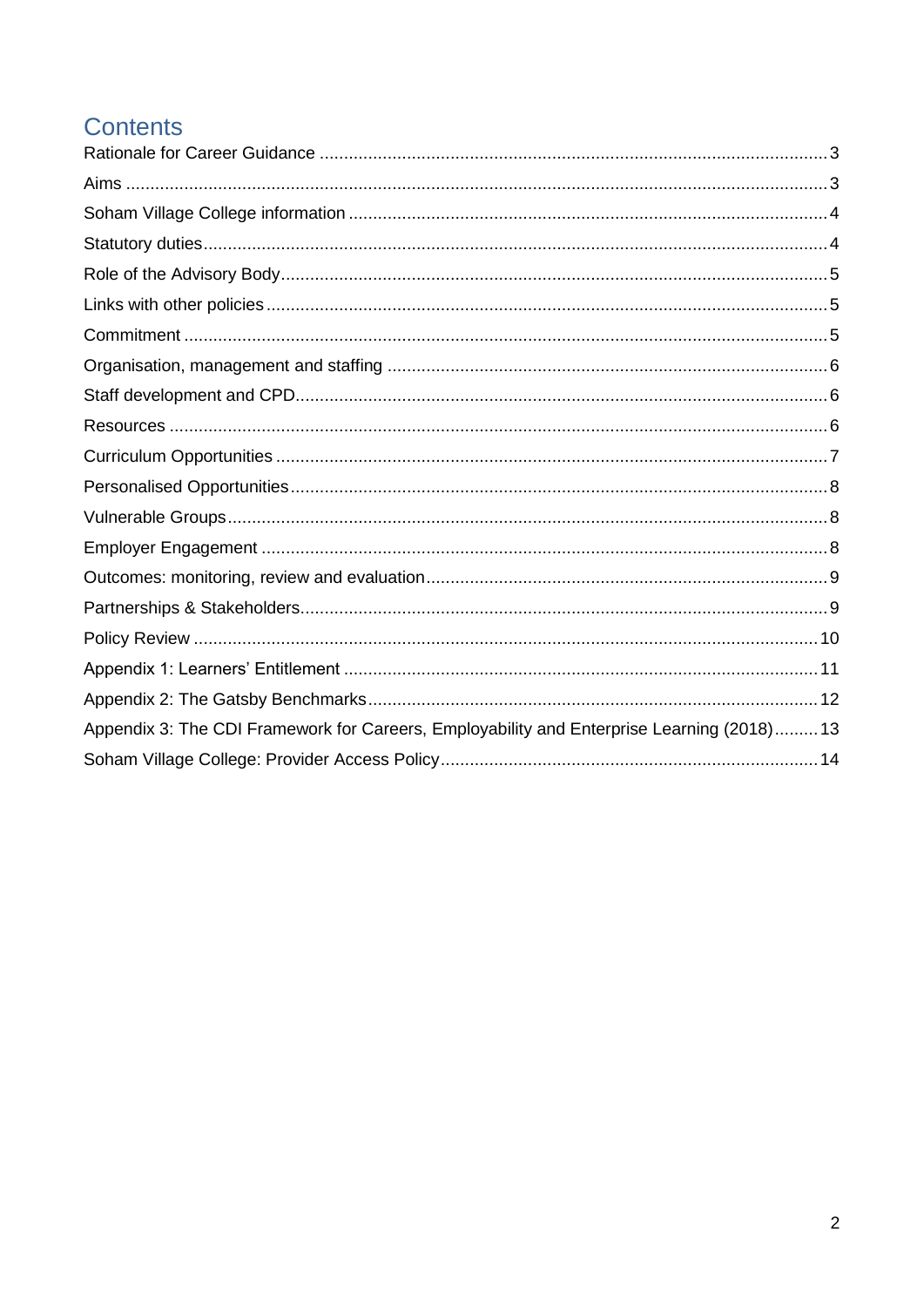# **Contents**

| Appendix 3: The CDI Framework for Careers, Employability and Enterprise Learning (2018) 13 |
|--------------------------------------------------------------------------------------------|
|                                                                                            |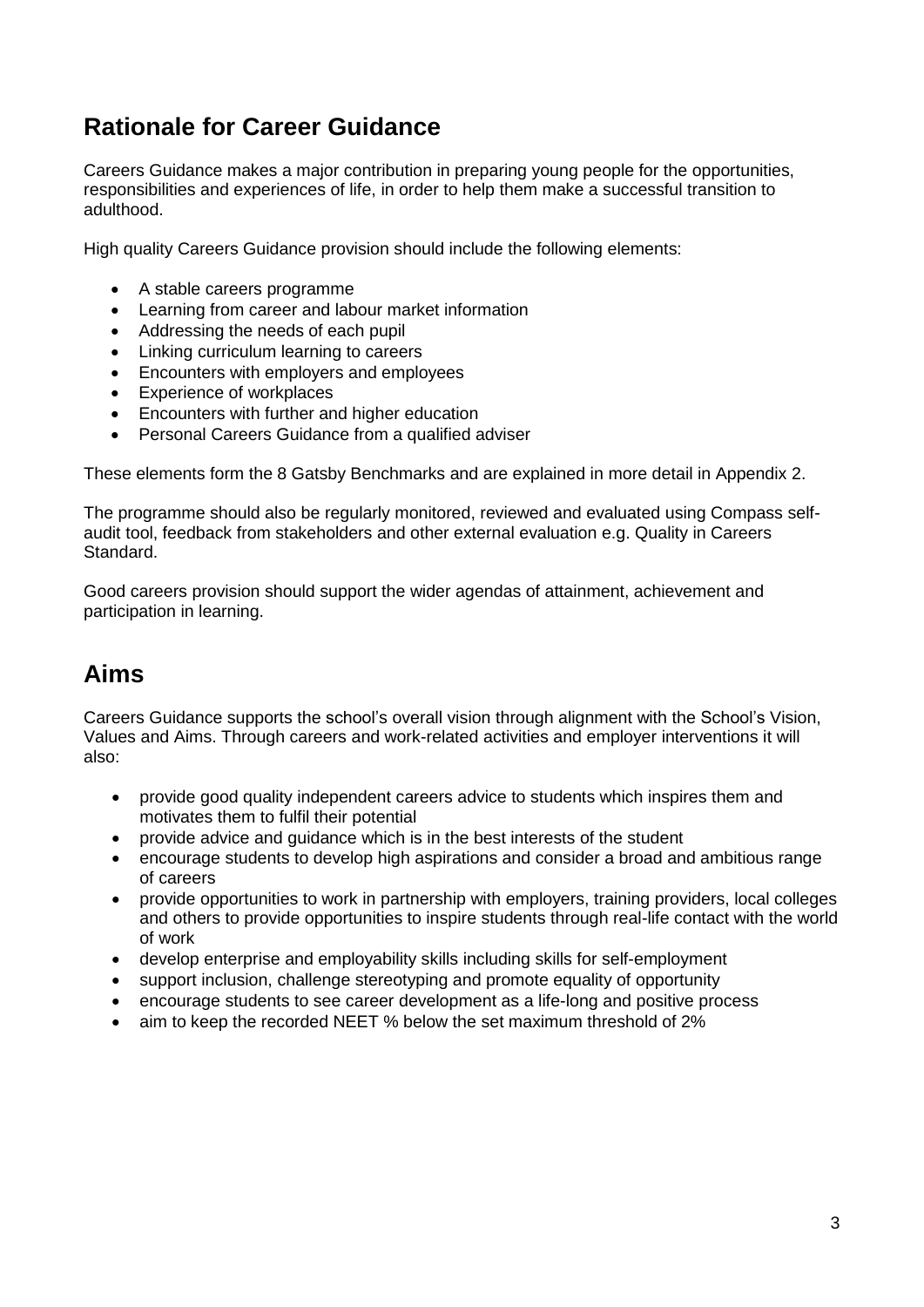## <span id="page-2-0"></span>**Rationale for Career Guidance**

Careers Guidance makes a major contribution in preparing young people for the opportunities, responsibilities and experiences of life, in order to help them make a successful transition to adulthood.

High quality Careers Guidance provision should include the following elements:

- A stable careers programme
- Learning from career and labour market information
- Addressing the needs of each pupil
- Linking curriculum learning to careers
- Encounters with employers and employees
- Experience of workplaces
- Encounters with further and higher education
- Personal Careers Guidance from a qualified adviser

These elements form the 8 Gatsby Benchmarks and are explained in more detail in Appendix 2.

The programme should also be regularly monitored, reviewed and evaluated using Compass selfaudit tool, feedback from stakeholders and other external evaluation e.g. Quality in Careers Standard.

Good careers provision should support the wider agendas of attainment, achievement and participation in learning.

# <span id="page-2-1"></span>**Aims**

Careers Guidance supports the school's overall vision through alignment with the School's Vision, Values and Aims. Through careers and work-related activities and employer interventions it will also:

- provide good quality independent careers advice to students which inspires them and motivates them to fulfil their potential
- provide advice and guidance which is in the best interests of the student
- encourage students to develop high aspirations and consider a broad and ambitious range of careers
- provide opportunities to work in partnership with employers, training providers, local colleges and others to provide opportunities to inspire students through real-life contact with the world of work
- develop enterprise and employability skills including skills for self-employment
- support inclusion, challenge stereotyping and promote equality of opportunity
- encourage students to see career development as a life-long and positive process
- aim to keep the recorded NEET % below the set maximum threshold of 2%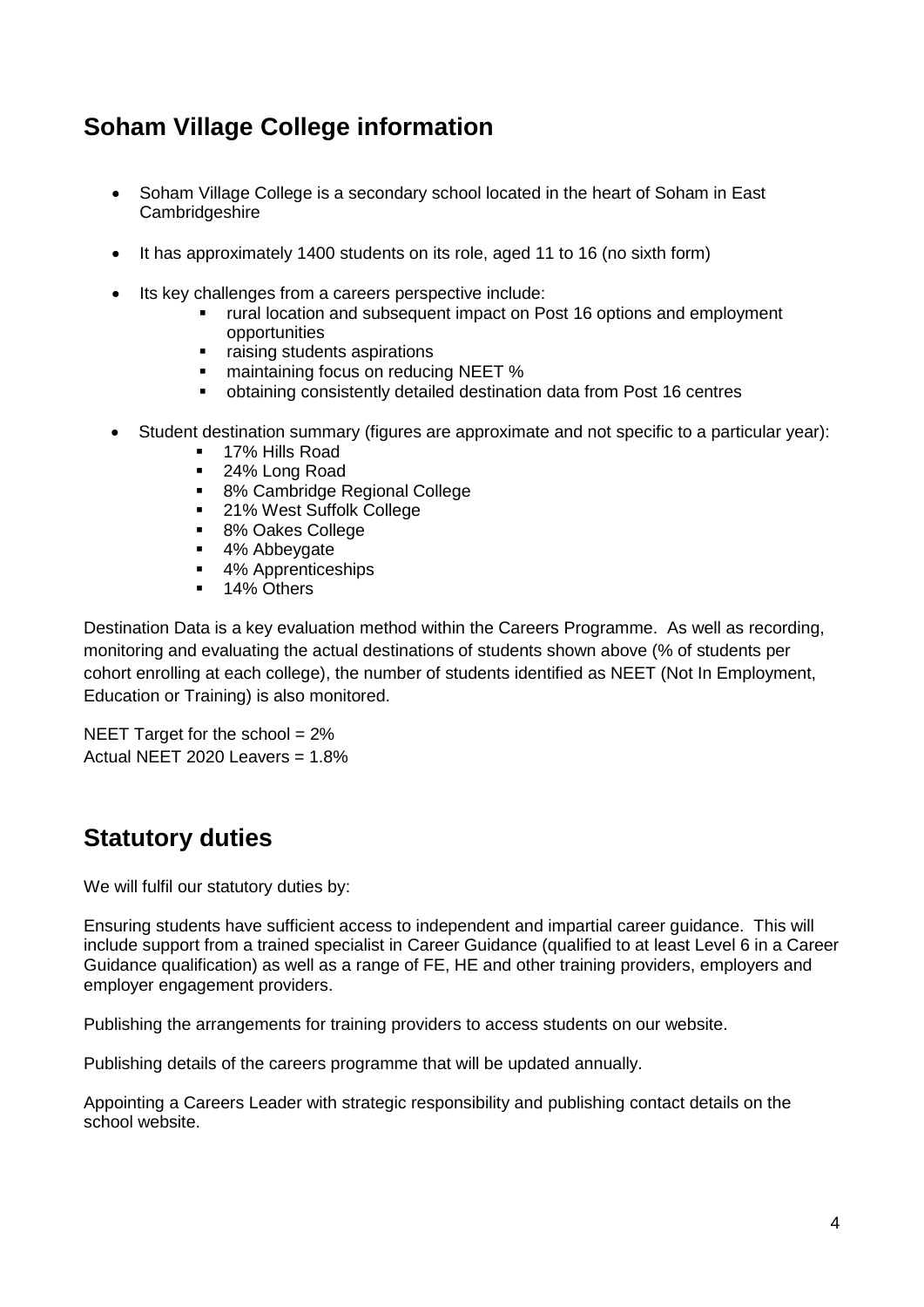# <span id="page-3-0"></span>**Soham Village College information**

- Soham Village College is a secondary school located in the heart of Soham in East Cambridgeshire
- It has approximately 1400 students on its role, aged 11 to 16 (no sixth form)
- Its key challenges from a careers perspective include:
	- rural location and subsequent impact on Post 16 options and employment opportunities
	- raising students aspirations
	- maintaining focus on reducing NEET %
	- obtaining consistently detailed destination data from Post 16 centres
- Student destination summary (figures are approximate and not specific to a particular year):
	- 17% Hills Road
	- 24% Long Road
	- 8% Cambridge Regional College
	- 21% West Suffolk College
	- 8% Oakes College
	- 4% Abbeygate
	- 4% Apprenticeships
	- 14% Others

Destination Data is a key evaluation method within the Careers Programme. As well as recording, monitoring and evaluating the actual destinations of students shown above (% of students per cohort enrolling at each college), the number of students identified as NEET (Not In Employment, Education or Training) is also monitored.

NEET Target for the school  $= 2\%$ Actual NEET 2020 Leavers = 1.8%

### <span id="page-3-1"></span>**Statutory duties**

We will fulfil our statutory duties by:

Ensuring students have sufficient access to independent and impartial career guidance. This will include support from a trained specialist in Career Guidance (qualified to at least Level 6 in a Career Guidance qualification) as well as a range of FE, HE and other training providers, employers and employer engagement providers.

Publishing the arrangements for training providers to access students on our website.

Publishing details of the careers programme that will be updated annually.

Appointing a Careers Leader with strategic responsibility and publishing contact details on the school website.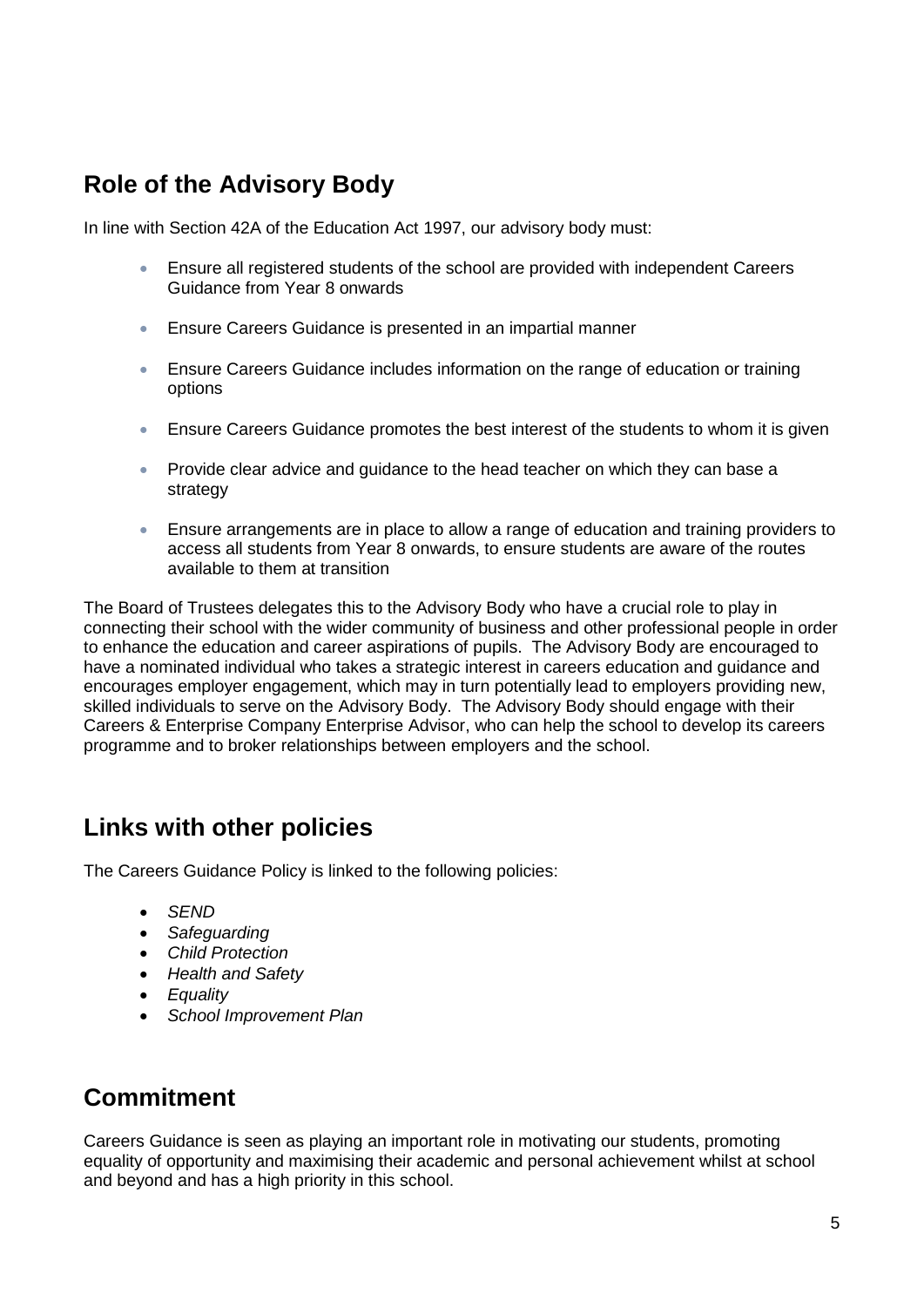## <span id="page-4-0"></span>**Role of the Advisory Body**

In line with Section 42A of the Education Act 1997, our advisory body must:

- Ensure all registered students of the school are provided with independent Careers Guidance from Year 8 onwards
- Ensure Careers Guidance is presented in an impartial manner
- Ensure Careers Guidance includes information on the range of education or training options
- Ensure Careers Guidance promotes the best interest of the students to whom it is given
- Provide clear advice and quidance to the head teacher on which they can base a strategy
- Ensure arrangements are in place to allow a range of education and training providers to access all students from Year 8 onwards, to ensure students are aware of the routes available to them at transition

The Board of Trustees delegates this to the Advisory Body who have a crucial role to play in connecting their school with the wider community of business and other professional people in order to enhance the education and career aspirations of pupils. The Advisory Body are encouraged to have a nominated individual who takes a strategic interest in careers education and guidance and encourages employer engagement, which may in turn potentially lead to employers providing new, skilled individuals to serve on the Advisory Body. The Advisory Body should engage with their Careers & Enterprise Company Enterprise Advisor, who can help the school to develop its careers programme and to broker relationships between employers and the school.

### <span id="page-4-1"></span>**Links with other policies**

The Careers Guidance Policy is linked to the following policies:

- *SEND*
- *Safeguarding*
- *Child Protection*
- *Health and Safety*
- *Equality*
- *School Improvement Plan*

### <span id="page-4-2"></span>**Commitment**

Careers Guidance is seen as playing an important role in motivating our students, promoting equality of opportunity and maximising their academic and personal achievement whilst at school and beyond and has a high priority in this school.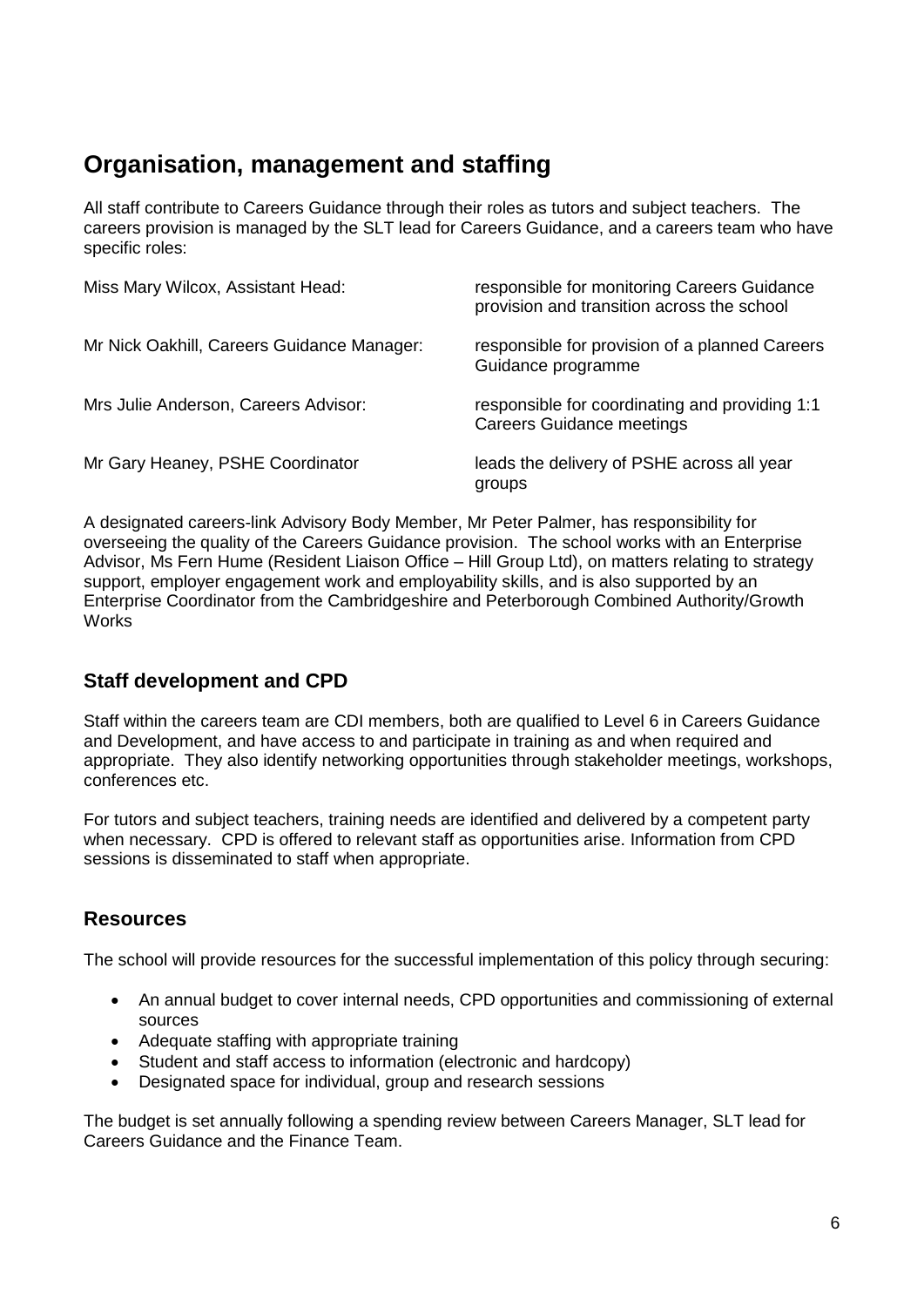## <span id="page-5-0"></span>**Organisation, management and staffing**

All staff contribute to Careers Guidance through their roles as tutors and subject teachers. The careers provision is managed by the SLT lead for Careers Guidance, and a careers team who have specific roles:

| Miss Mary Wilcox, Assistant Head:          | responsible for monitoring Careers Guidance<br>provision and transition across the school |
|--------------------------------------------|-------------------------------------------------------------------------------------------|
| Mr Nick Oakhill, Careers Guidance Manager: | responsible for provision of a planned Careers<br>Guidance programme                      |
| Mrs Julie Anderson, Careers Advisor:       | responsible for coordinating and providing 1:1<br><b>Careers Guidance meetings</b>        |
| Mr Gary Heaney, PSHE Coordinator           | leads the delivery of PSHE across all year<br>groups                                      |

A designated careers-link Advisory Body Member, Mr Peter Palmer, has responsibility for overseeing the quality of the Careers Guidance provision. The school works with an Enterprise Advisor, Ms Fern Hume (Resident Liaison Office – Hill Group Ltd), on matters relating to strategy support, employer engagement work and employability skills, and is also supported by an Enterprise Coordinator from the Cambridgeshire and Peterborough Combined Authority/Growth **Works** 

### <span id="page-5-1"></span>**Staff development and CPD**

Staff within the careers team are CDI members, both are qualified to Level 6 in Careers Guidance and Development, and have access to and participate in training as and when required and appropriate. They also identify networking opportunities through stakeholder meetings, workshops, conferences etc.

For tutors and subject teachers, training needs are identified and delivered by a competent party when necessary. CPD is offered to relevant staff as opportunities arise. Information from CPD sessions is disseminated to staff when appropriate.

### <span id="page-5-2"></span>**Resources**

The school will provide resources for the successful implementation of this policy through securing:

- An annual budget to cover internal needs, CPD opportunities and commissioning of external sources
- Adequate staffing with appropriate training
- Student and staff access to information (electronic and hardcopy)
- Designated space for individual, group and research sessions

The budget is set annually following a spending review between Careers Manager, SLT lead for Careers Guidance and the Finance Team.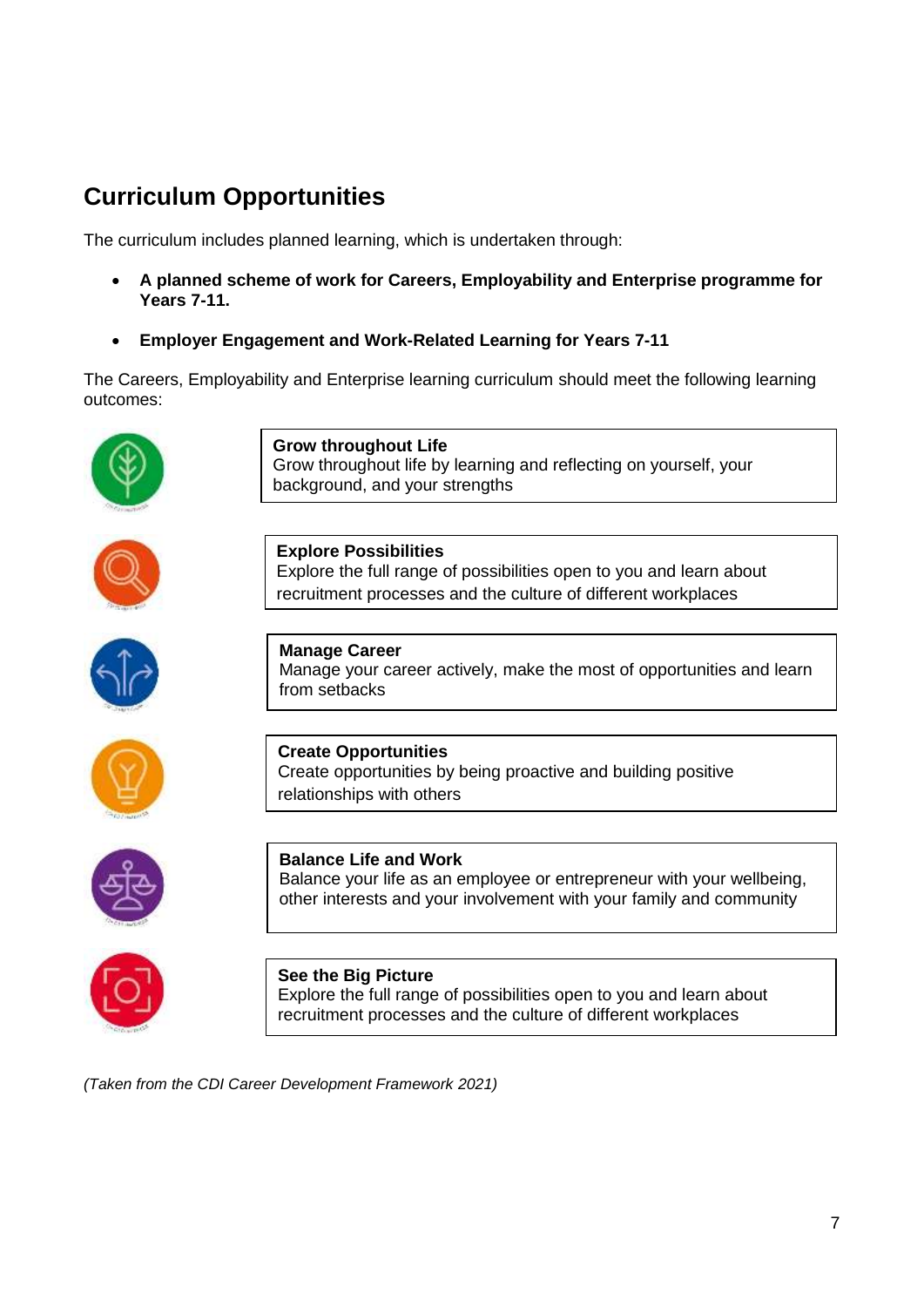# <span id="page-6-0"></span>**Curriculum Opportunities**

The curriculum includes planned learning, which is undertaken through:

- **A planned scheme of work for Careers, Employability and Enterprise programme for Years 7-11.**
- **Employer Engagement and Work-Related Learning for Years 7-11**

The Careers, Employability and Enterprise learning curriculum should meet the following learning outcomes:



*(Taken from the CDI Career Development Framework 2021)*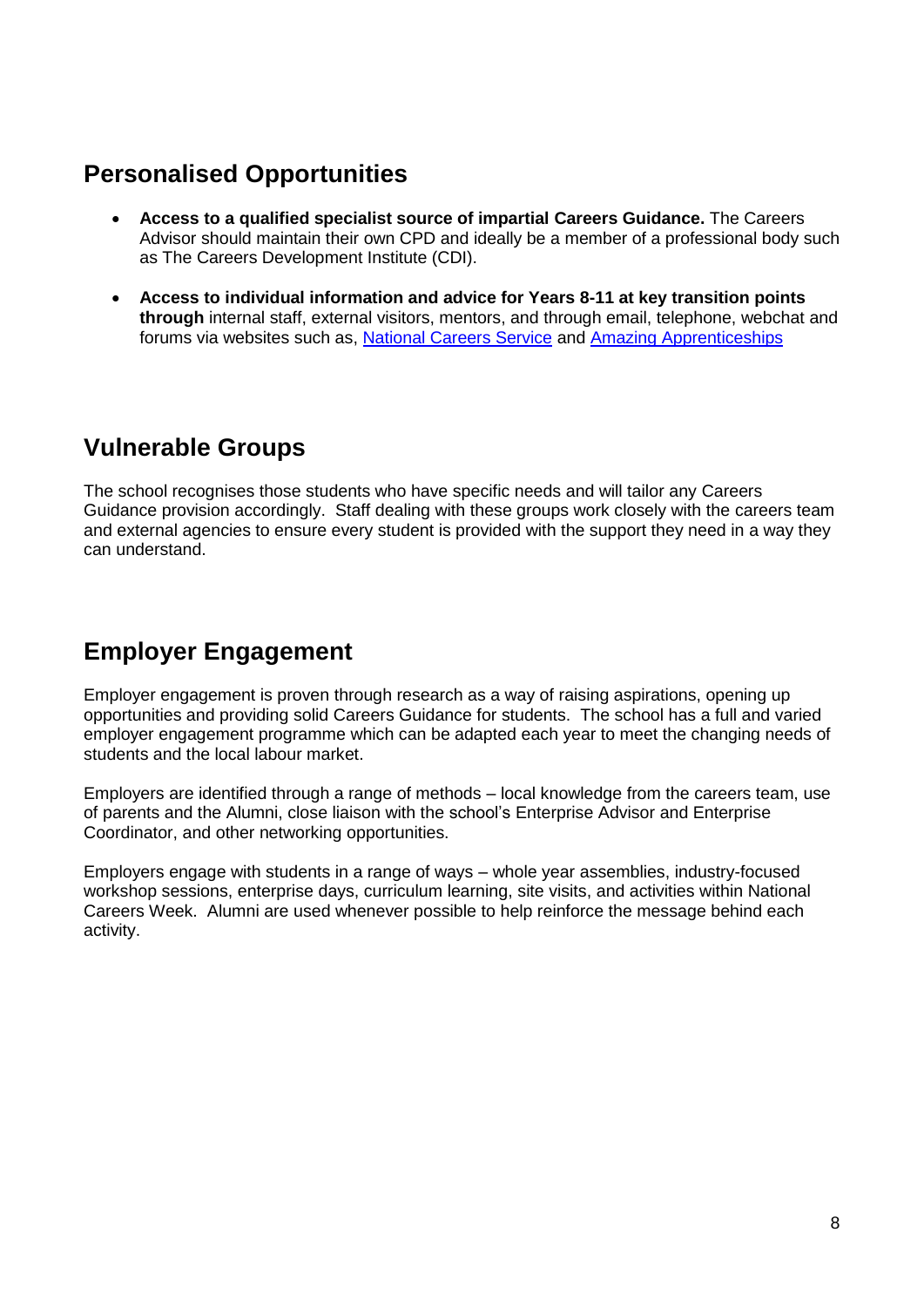### <span id="page-7-0"></span>**Personalised Opportunities**

- **Access to a qualified specialist source of impartial Careers Guidance.** The Careers Advisor should maintain their own CPD and ideally be a member of a professional body such as The Careers Development Institute (CDI).
- **Access to individual information and advice for Years 8-11 at key transition points through** internal staff, external visitors, mentors, and through email, telephone, webchat and forums via websites such as, [National Careers Service](https://nationalcareersservice.direct.gov.uk/) and [Amazing Apprenticeships](https://amazingapprenticeships.com/)

### <span id="page-7-1"></span>**Vulnerable Groups**

The school recognises those students who have specific needs and will tailor any Careers Guidance provision accordingly. Staff dealing with these groups work closely with the careers team and external agencies to ensure every student is provided with the support they need in a way they can understand.

# <span id="page-7-2"></span>**Employer Engagement**

Employer engagement is proven through research as a way of raising aspirations, opening up opportunities and providing solid Careers Guidance for students. The school has a full and varied employer engagement programme which can be adapted each year to meet the changing needs of students and the local labour market.

Employers are identified through a range of methods – local knowledge from the careers team, use of parents and the Alumni, close liaison with the school's Enterprise Advisor and Enterprise Coordinator, and other networking opportunities.

Employers engage with students in a range of ways – whole year assemblies, industry-focused workshop sessions, enterprise days, curriculum learning, site visits, and activities within National Careers Week. Alumni are used whenever possible to help reinforce the message behind each activity.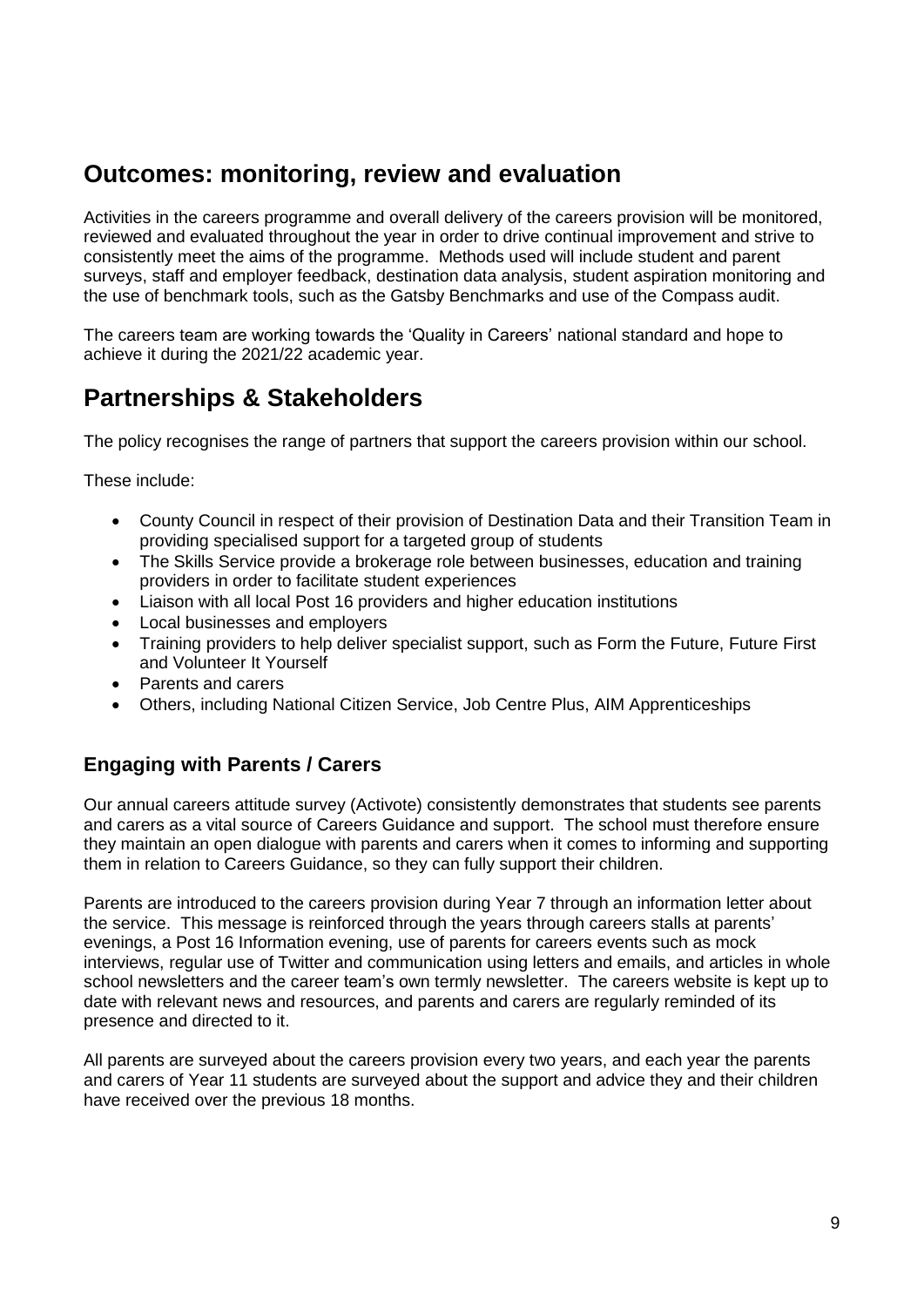### <span id="page-8-0"></span>**Outcomes: monitoring, review and evaluation**

Activities in the careers programme and overall delivery of the careers provision will be monitored, reviewed and evaluated throughout the year in order to drive continual improvement and strive to consistently meet the aims of the programme. Methods used will include student and parent surveys, staff and employer feedback, destination data analysis, student aspiration monitoring and the use of benchmark tools, such as the Gatsby Benchmarks and use of the Compass audit.

The careers team are working towards the 'Quality in Careers' national standard and hope to achieve it during the 2021/22 academic year.

### <span id="page-8-1"></span>**Partnerships & Stakeholders**

The policy recognises the range of partners that support the careers provision within our school.

These include:

- County Council in respect of their provision of Destination Data and their Transition Team in providing specialised support for a targeted group of students
- The Skills Service provide a brokerage role between businesses, education and training providers in order to facilitate student experiences
- Liaison with all local Post 16 providers and higher education institutions
- Local businesses and employers
- Training providers to help deliver specialist support, such as Form the Future, Future First and Volunteer It Yourself
- Parents and carers
- Others, including National Citizen Service, Job Centre Plus, AIM Apprenticeships

### **Engaging with Parents / Carers**

Our annual careers attitude survey (Activote) consistently demonstrates that students see parents and carers as a vital source of Careers Guidance and support. The school must therefore ensure they maintain an open dialogue with parents and carers when it comes to informing and supporting them in relation to Careers Guidance, so they can fully support their children.

Parents are introduced to the careers provision during Year 7 through an information letter about the service. This message is reinforced through the years through careers stalls at parents' evenings, a Post 16 Information evening, use of parents for careers events such as mock interviews, regular use of Twitter and communication using letters and emails, and articles in whole school newsletters and the career team's own termly newsletter. The careers website is kept up to date with relevant news and resources, and parents and carers are regularly reminded of its presence and directed to it.

All parents are surveyed about the careers provision every two years, and each year the parents and carers of Year 11 students are surveyed about the support and advice they and their children have received over the previous 18 months.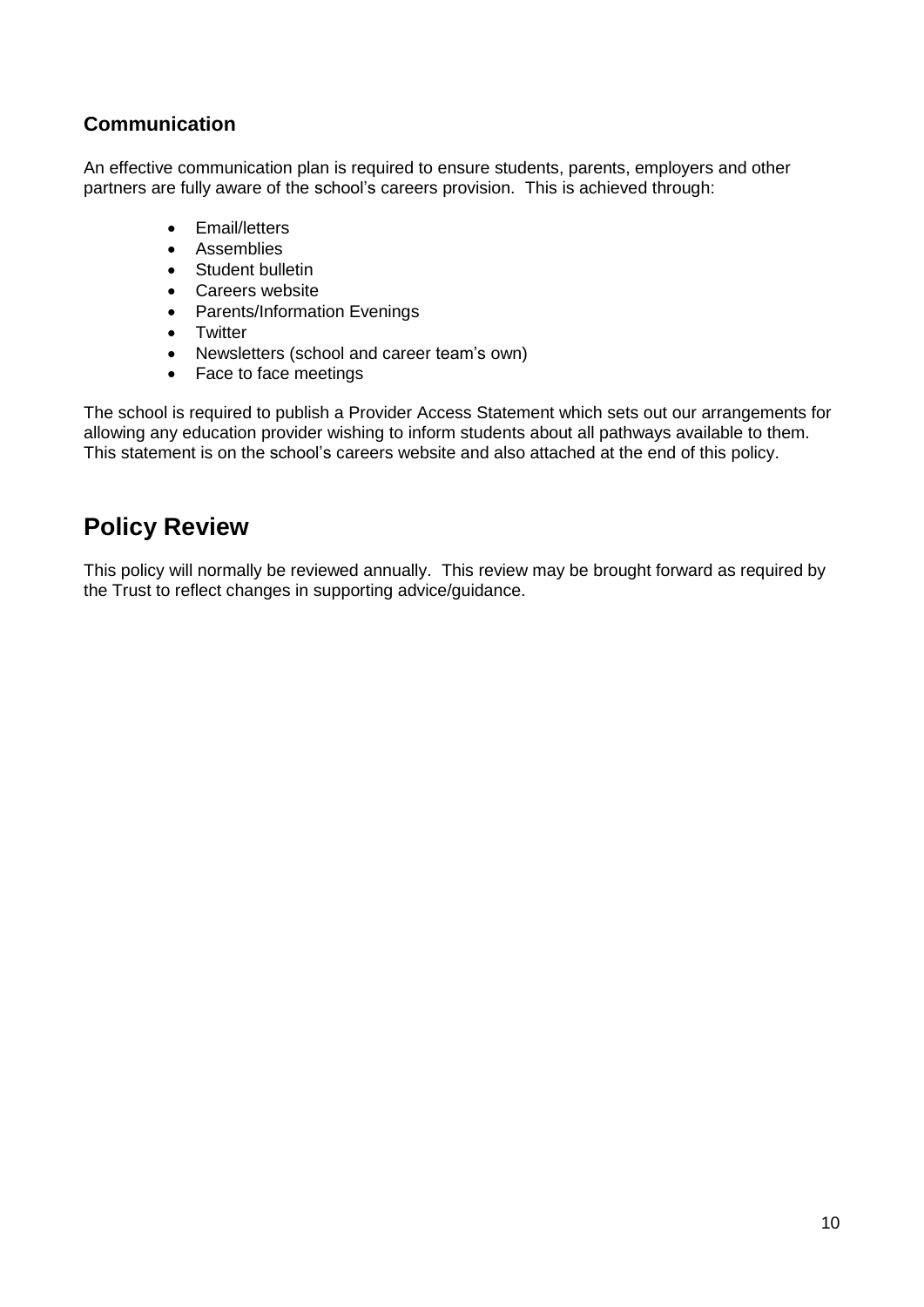### **Communication**

An effective communication plan is required to ensure students, parents, employers and other partners are fully aware of the school's careers provision. This is achieved through:

- Email/letters
- Assemblies
- Student bulletin
- Careers website
- Parents/Information Evenings
- Twitter
- Newsletters (school and career team's own)
- Face to face meetings

The school is required to publish a Provider Access Statement which sets out our arrangements for allowing any education provider wishing to inform students about all pathways available to them. This statement is on the school's careers website and also attached at the end of this policy.

### <span id="page-9-0"></span>**Policy Review**

This policy will normally be reviewed annually. This review may be brought forward as required by the Trust to reflect changes in supporting advice/guidance.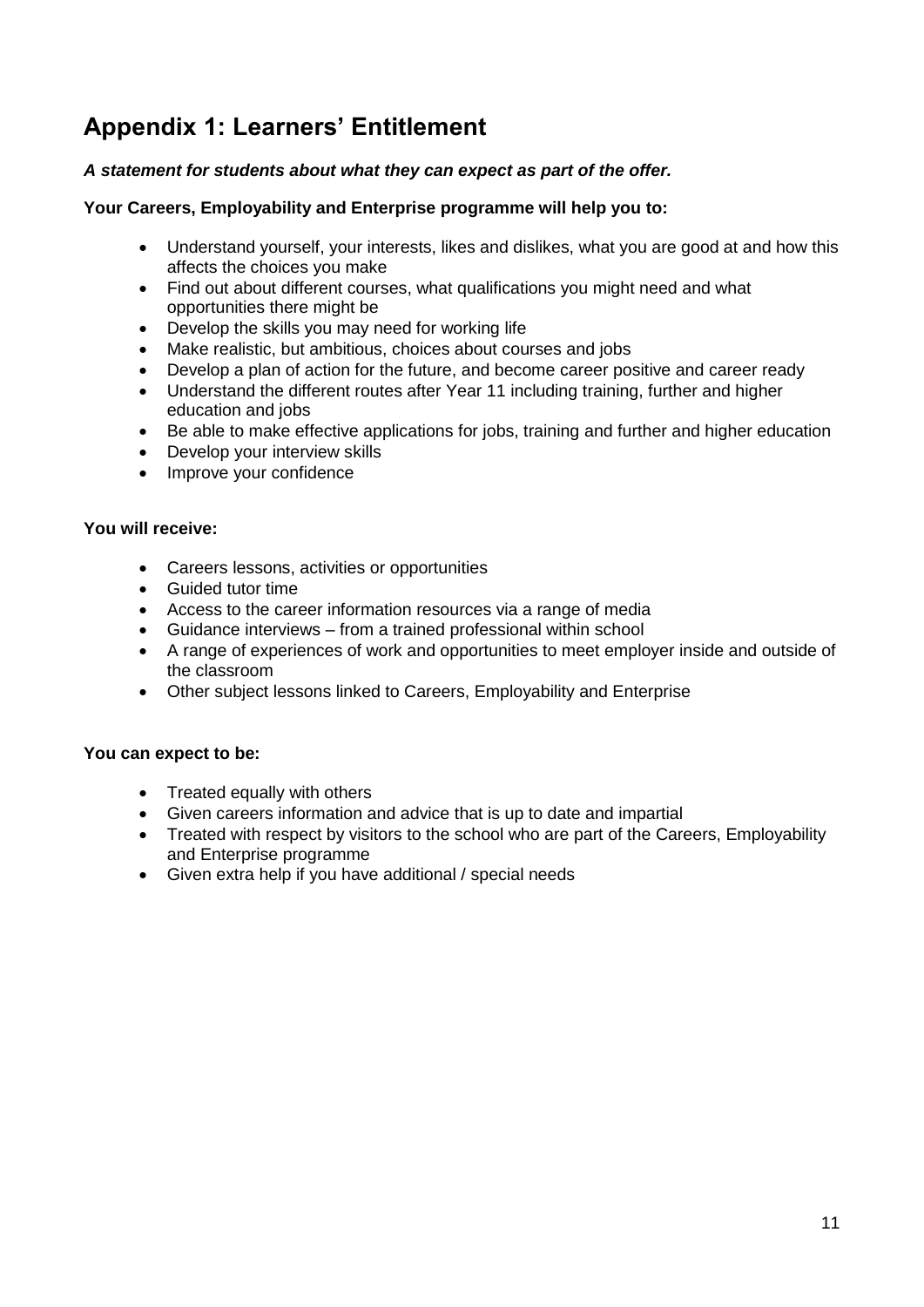# <span id="page-10-0"></span>**Appendix 1: Learners' Entitlement**

#### *A statement for students about what they can expect as part of the offer.*

#### **Your Careers, Employability and Enterprise programme will help you to:**

- Understand yourself, your interests, likes and dislikes, what you are good at and how this affects the choices you make
- Find out about different courses, what qualifications you might need and what opportunities there might be
- Develop the skills you may need for working life
- Make realistic, but ambitious, choices about courses and jobs
- Develop a plan of action for the future, and become career positive and career ready
- Understand the different routes after Year 11 including training, further and higher education and jobs
- Be able to make effective applications for jobs, training and further and higher education
- Develop your interview skills
- Improve your confidence

#### **You will receive:**

- Careers lessons, activities or opportunities
- Guided tutor time
- Access to the career information resources via a range of media
- Guidance interviews from a trained professional within school
- A range of experiences of work and opportunities to meet employer inside and outside of the classroom
- Other subject lessons linked to Careers, Employability and Enterprise

#### **You can expect to be:**

- Treated equally with others
- Given careers information and advice that is up to date and impartial
- Treated with respect by visitors to the school who are part of the Careers, Employability and Enterprise programme
- Given extra help if you have additional / special needs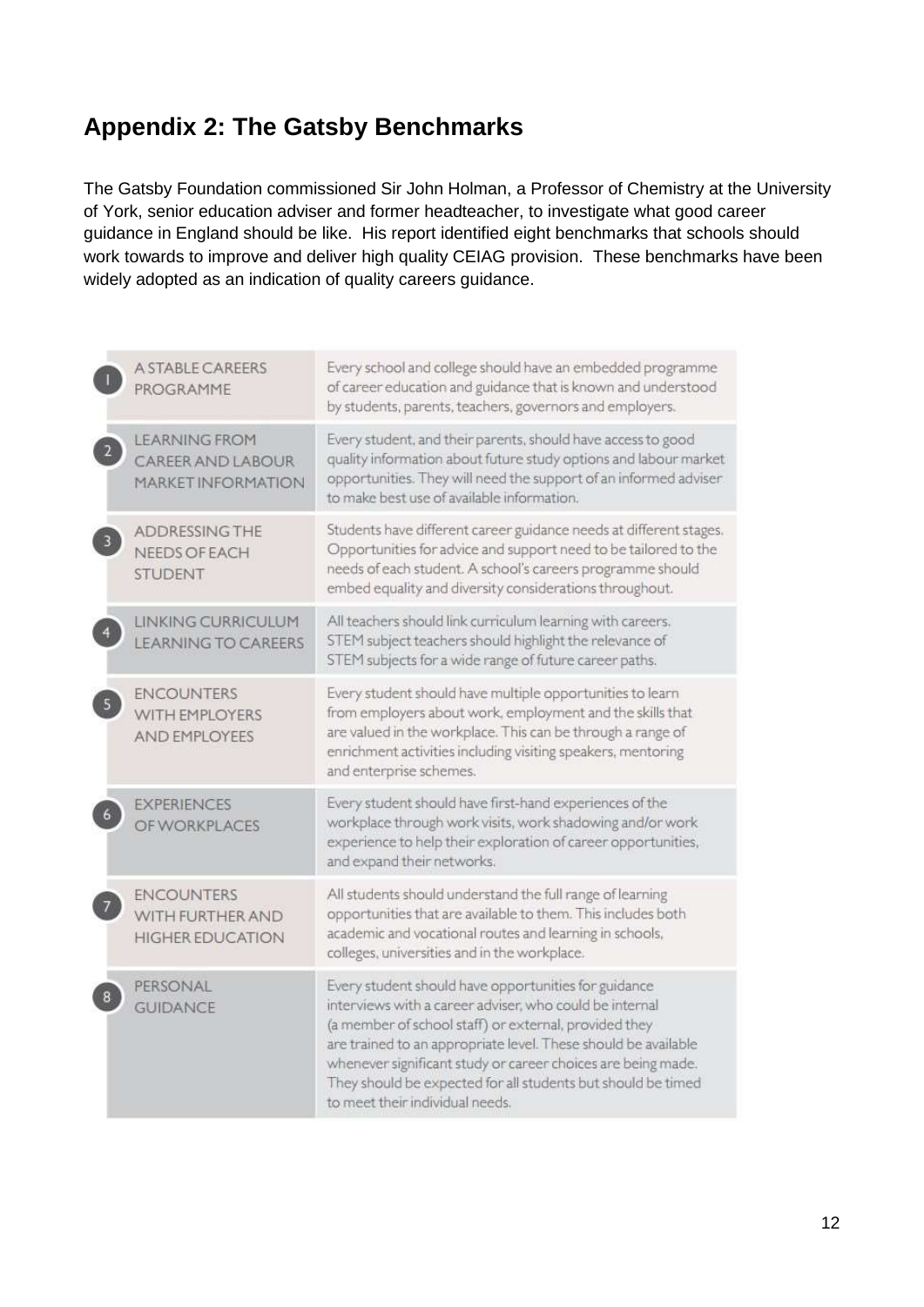# <span id="page-11-0"></span>**Appendix 2: The Gatsby Benchmarks**

The Gatsby Foundation commissioned Sir John Holman, a Professor of Chemistry at the University of York, senior education adviser and former headteacher, to investigate what good career guidance in England should be like. His report identified eight benchmarks that schools should work towards to improve and deliver high quality CEIAG provision. These benchmarks have been widely adopted as an indication of quality careers guidance.

|   | A STABLE CAREERS<br>PROGRAMME                                          | Every school and college should have an embedded programme<br>of career education and guidance that is known and understood<br>by students, parents, teachers, governors and employers.                                                                                                                                                                                                                       |
|---|------------------------------------------------------------------------|---------------------------------------------------------------------------------------------------------------------------------------------------------------------------------------------------------------------------------------------------------------------------------------------------------------------------------------------------------------------------------------------------------------|
| 2 | <b>LEARNING FROM</b><br>CAREER AND LABOUR<br><b>MARKET INFORMATION</b> | Every student, and their parents, should have access to good<br>quality information about future study options and labour market<br>opportunities. They will need the support of an informed adviser<br>to make best use of available information.                                                                                                                                                            |
|   | <b>ADDRESSING THE</b><br>NEEDS OF EACH<br><b>STUDENT</b>               | Students have different career guidance needs at different stages.<br>Opportunities for advice and support need to be tailored to the<br>needs of each student. A school's careers programme should<br>embed equality and diversity considerations throughout.                                                                                                                                                |
|   | LINKING CURRICULUM<br><b>LEARNING TO CAREERS</b>                       | All teachers should link curriculum learning with careers.<br>STEM subject teachers should highlight the relevance of<br>STEM subjects for a wide range of future career paths.                                                                                                                                                                                                                               |
| 5 | <b>ENCOUNTERS</b><br>WITH EMPLOYERS<br><b>AND EMPLOYEES</b>            | Every student should have multiple opportunities to learn<br>from employers about work, employment and the skills that<br>are valued in the workplace. This can be through a range of<br>enrichment activities including visiting speakers, mentoring<br>and enterprise schemes.                                                                                                                              |
|   | <b>EXPERIENCES</b><br>OF WORKPLACES                                    | Every student should have first-hand experiences of the<br>workplace through work visits, work shadowing and/or work<br>experience to help their exploration of career opportunities,<br>and expand their networks.                                                                                                                                                                                           |
|   | <b>ENCOUNTERS</b><br>WITH FURTHER AND<br><b>HIGHER EDUCATION</b>       | All students should understand the full range of learning<br>opportunities that are available to them. This includes both<br>academic and vocational routes and learning in schools,<br>colleges, universities and in the workplace.                                                                                                                                                                          |
|   | PERSONAL<br><b>GUIDANCE</b>                                            | Every student should have opportunities for guidance<br>interviews with a career adviser, who could be internal<br>(a member of school staff) or external, provided they<br>are trained to an appropriate level. These should be available<br>whenever significant study or career choices are being made.<br>They should be expected for all students but should be timed<br>to meet their individual needs. |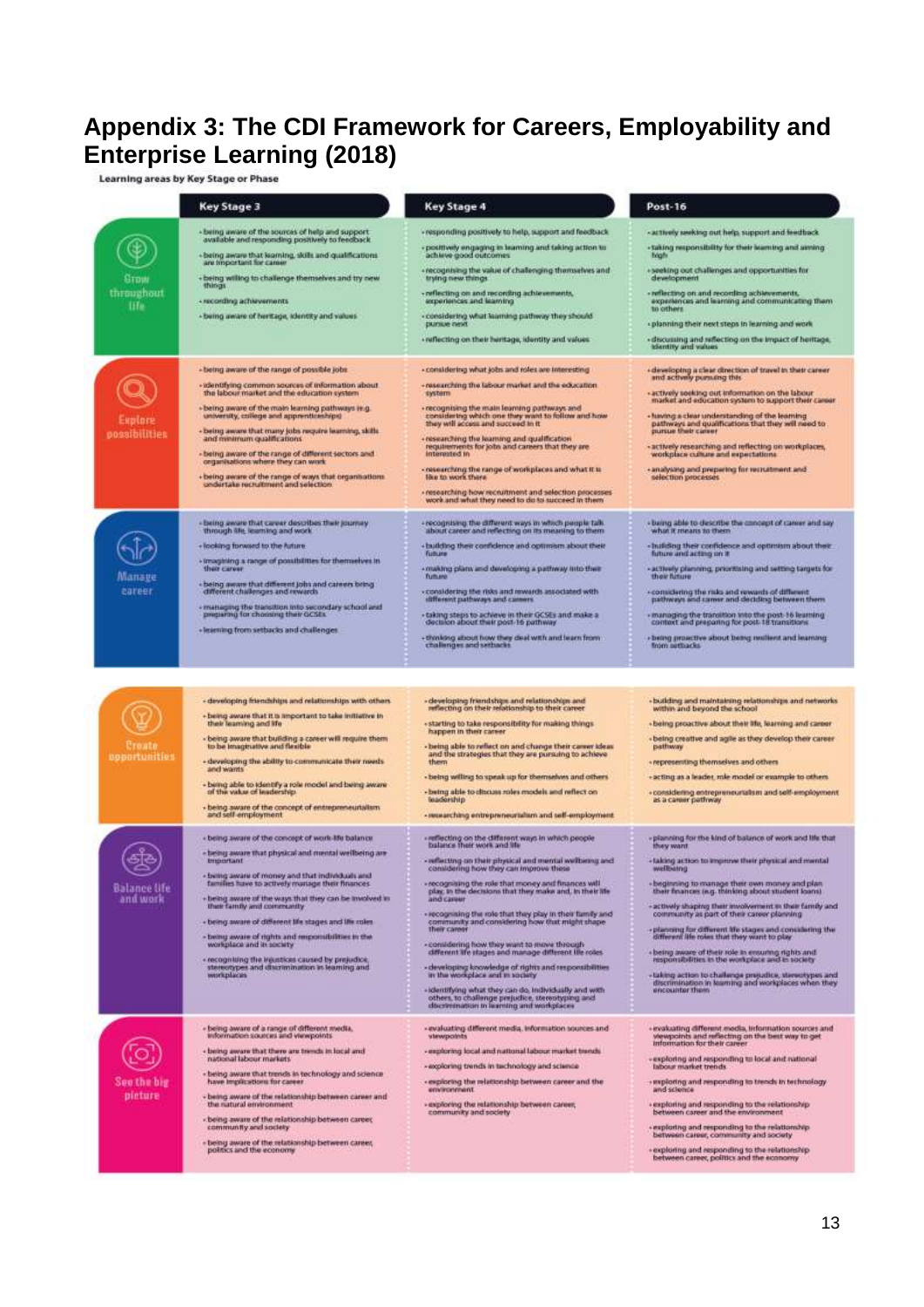# <span id="page-12-0"></span>**Appendix 3: The CDI Framework for Careers, Employability and Enterprise Learning (2018)**

|                                  | <b>Key Stage 3</b>                                                                                                                                                                                                                                                                                                                                                                                                                                                                                                                                                                              | <b>Key Stage 4</b>                                                                                                                                                                                                                                                                                                                                                                                                                                                                                                                                                                                                                                                                                                                                                                                                  | Post-16                                                                                                                                                                                                                                                                                                                                                                                                                                                                                                                                                                                                                                                                                                        |
|----------------------------------|-------------------------------------------------------------------------------------------------------------------------------------------------------------------------------------------------------------------------------------------------------------------------------------------------------------------------------------------------------------------------------------------------------------------------------------------------------------------------------------------------------------------------------------------------------------------------------------------------|---------------------------------------------------------------------------------------------------------------------------------------------------------------------------------------------------------------------------------------------------------------------------------------------------------------------------------------------------------------------------------------------------------------------------------------------------------------------------------------------------------------------------------------------------------------------------------------------------------------------------------------------------------------------------------------------------------------------------------------------------------------------------------------------------------------------|----------------------------------------------------------------------------------------------------------------------------------------------------------------------------------------------------------------------------------------------------------------------------------------------------------------------------------------------------------------------------------------------------------------------------------------------------------------------------------------------------------------------------------------------------------------------------------------------------------------------------------------------------------------------------------------------------------------|
| Gtbw<br>throughout<br><b>Hfe</b> | - being aware of the sources of help and support.<br>available and responding positively to feedback<br>+ being aware that learning, skills and qualifications<br>are important for came<br>+ being willing to challenge themselves and try new<br>things<br>+ recording achievements<br>- being aware of twritage, klentity and values                                                                                                                                                                                                                                                         | - responding positively to help, support and feedback<br>- positively engaging in learning and taking action to<br>achieve good outcomes.<br>- recognising the value of challenging themselves and<br>trying new things.<br>- neflecting on and recording achievements,<br>experiences and learning<br>- considering what learning pathway they should.<br>pursue next<br>· reflecting on their heritage, identity and values                                                                                                                                                                                                                                                                                                                                                                                       | - actively seeking out help, support and feedback<br>- taking responsibility for their learning and aiming<br><b>Islaft</b><br>· seeking out challenges and opportunities for<br>development<br>- reflecting on and recording achievements,<br>experiences and learning and communicating them<br>to others.<br>- planning their next steps in learning and work<br>- discussing and reflecting on the impact of heritage.<br>klentity and values                                                                                                                                                                                                                                                              |
| uplare<br>possibilities          | - being aware of the range of possible jobs<br>· Identifying common sources of information about<br>the labour market and the education system<br>. being aware of the main learning pathways in.g.<br>university, college and apprenticeships)<br>- being aware that many jobs require learning, skills<br>and minimum qualifications.<br>- being aware of the range of different sectors and<br>organisations where they can work<br>- being aware of the range of ways that organisations.<br>undertake recruitment and selection.                                                           | - considering what jobs and roles are interesting<br>-researching the labour market and the education<br>system<br>- recognising the main learning pathways and<br>considering which one they want to follow and how<br>they will access and succeed in it.<br>· researching the learning and qualification<br>requirements for jobs and careers that they are<br>interested in<br>-nesearching the range of workplaces and what it is<br>like to work there<br>· researching how recruitment and selection processes<br>work and what they need to do to tucceed in them                                                                                                                                                                                                                                           | · developing a clear direction of travel in their career<br>and actively pursuing this<br>- actively seeking out information on the labour<br>market and education system to support their career.<br>- luiving a clear understanding of the learning<br>pathways and qualifications that they will need to<br>pursue their career<br>- actively researching and reflecting on workplaces,<br>workplace culture and expectations.<br>- analysing and preparing for recruitment and<br>selection processes                                                                                                                                                                                                      |
| Manage<br>eareer                 | - being aware that career describes their journey<br>through life, learning and work<br>+ looking forward to the future.<br>- imagining a range of possibilities for themselves in<br>their career<br>· being aware that different jobs and careers bring<br>different challenges and rewards<br>- mattaging the transition into secondary school and<br>- preparing for choosing their GCSEs<br>+ learning from setbacks and challenger                                                                                                                                                        | + recognising the different ways in which people talk.<br>about career and reflecting on its meaning to them<br>+ building their confidence and optimism about their<br>future<br>- making plans and developing a pathway into their<br><b>Turburo</b><br>-considering the risks and rewards associated with<br>stifferent pathways and careers<br>+ taking steps to achieve in their GCSEs and make a<br>decision about their post-16 pathway<br>+thinking about how they deal with and learn from<br>challenges and setbacks                                                                                                                                                                                                                                                                                      | - being able to describe the concept of career and say<br>what it means to them.<br>- building their confidence and optimism about their<br>future and acting on it<br>- actively planning, prioritising and setting targets for<br>their future<br>-considering the risks and rewards of different<br>pathways and career and deciding between them.<br>- managing the transition into the post-16 learning<br>context and preparing for post-18 transitions<br>· being proactive about being nullient and learning<br>from settuacks.                                                                                                                                                                        |
|                                  |                                                                                                                                                                                                                                                                                                                                                                                                                                                                                                                                                                                                 |                                                                                                                                                                                                                                                                                                                                                                                                                                                                                                                                                                                                                                                                                                                                                                                                                     |                                                                                                                                                                                                                                                                                                                                                                                                                                                                                                                                                                                                                                                                                                                |
| troute<br>opportunities          | - developing friendships and relationships with others<br>+ being aware that it is important to take initiative in<br>their learning and life<br>- being aware that building a career will require them<br>to be imaginative and flexible<br>- developing the ability to communicate their needs<br>and wants<br>- being able to identify a role reodel and being aware<br>of the value of leadership.<br>- being aware of the concept of entrepreneurtalism<br>and self-employment                                                                                                             | - developing framdships and relationships and<br>reflecting on their relationship to their career.<br>- starting to take responsibility for making things<br>happen in their career<br>- being able to reflect on and change their career ideas.<br>and the strategies that they are pursuing to achieve<br>them<br>- being willing to speak up for themselves and others<br>- being able to discuss rales models and reflect on<br>teadership<br>- researching entrepreneurtalism and self-employment                                                                                                                                                                                                                                                                                                              | +building and maintaining relationships and networks<br>within and beyond the school<br>- being proactive about their itle, learning and career<br>« being creative and agile as they develop their career<br>pathway<br>+ representing themselves and others<br>+acting as a leader, role model or example to others.<br>+ considering entrepreneurialsm and self-employment<br>as a career pethway                                                                                                                                                                                                                                                                                                           |
| Balance life<br>and work         | - being aware of the concept of work-life balance<br>+ being aware that physical and mental wellbeing are<br><b>Important</b><br>- being aware of money and that individuals and<br>families have to actively manage their finances.<br>- being aware of the ways that they can be involved in<br>their family and community<br>+ being aware of different life stages and life roles<br>- being aware of rights and responsibilities in the<br>workplace and in seciety.<br>- recogniting the injustices caused by prejudice,<br>stereotypes and discrimination in learning and<br>workplaces. | - reflecting on the different ways in which people<br>balance their work and life<br>- reflecting on their physical and mental wellbeing and<br>considering how they can improve these<br>- recognising the role that money and finances will<br>play, in the decisions that they make and, in their life<br>and career<br>- recognising the role that they play in their family and<br>community and considering how that might shape<br>their career<br>- considering how they want to move through<br>different life stages and manage different life roles<br>- developing knowledge of rights and responsibilities<br>in the workplace and in society<br>-sdentifying what they can do, individually and with<br>others, to challenge prejudice, stereotyping and<br>discretination in learning and workplaces | «planning for the kind of balance of work and life that<br>they want<br>+taking action to impirme their physical and mental<br>wellbing<br>-beginning to manage their own money and plan<br>their finances (e.g. thinking about student loans)<br>+actively shaping their involvement in their family and<br>community as part of their career planning<br>+planning for different life stages and considering the<br>different life roles that they want to play<br>+ being aware of their role in ensuring rights and<br>responsibilities in the workplace and in society<br>-taking action to challenge prejudice, stereotypes and<br>discrimination in learning and workplaces when they<br>encounter them |
| See the big<br>pieture           | « being aware of a range of different media.<br>information sources and viewpoints<br>+ being aware that there are trends in local and<br>national labour markets:<br>- being aware that trends in technology and science<br>have implications for career.<br>- being aware of the relationship between career and<br>the satural environment.<br>«being aware of the relationship between career.<br>community and society<br>- being aware of the relationship between career,<br>pointics and the economy                                                                                    | - evaluating different media, information sources and<br>viewpoints<br>- exploring local and national labour market trends.<br>- exploring trends in technology and science<br>- exploring the relationship between career and the<br>environment.<br>- exploring the relationship between career,<br>community and society                                                                                                                                                                                                                                                                                                                                                                                                                                                                                         | · evakating different media, information sources and<br>viewpoints and reflecting on the best way to get<br>information for their career<br>-exploring and responding to local and national<br>tabour market trends<br>+ exploring and responding to trench in technology<br>and science<br>- exploring and responding to the relationship<br>between career and the environment<br>- exploring and responding to the relationship<br>between career, community and society<br>+exploring and responding to the relationship<br>between career, politics and the economy                                                                                                                                       |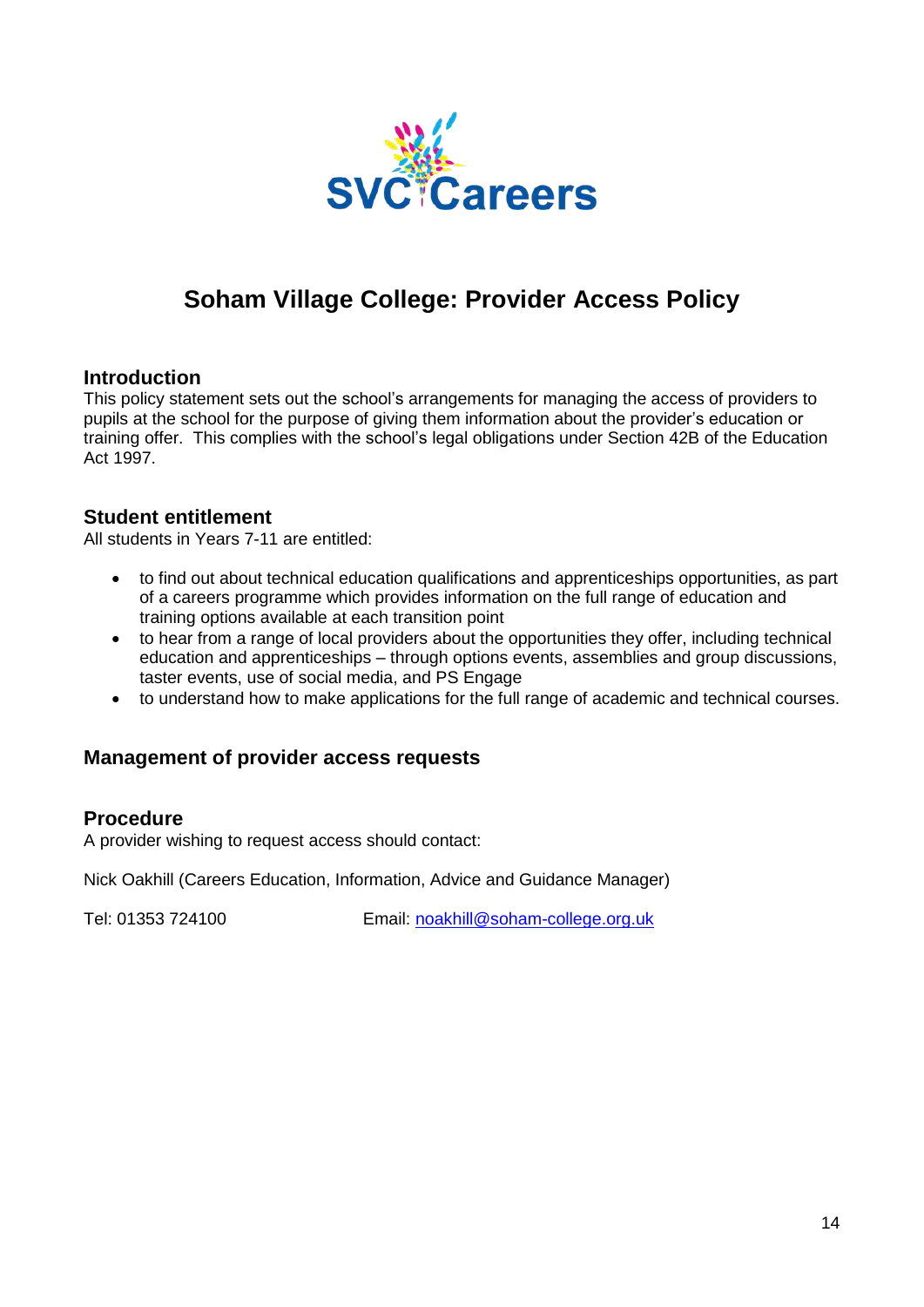

# **Soham Village College: Provider Access Policy**

### <span id="page-13-0"></span>**Introduction**

This policy statement sets out the school's arrangements for managing the access of providers to pupils at the school for the purpose of giving them information about the provider's education or training offer. This complies with the school's legal obligations under Section 42B of the Education Act 1997.

### **Student entitlement**

All students in Years 7-11 are entitled:

- to find out about technical education qualifications and apprenticeships opportunities, as part of a careers programme which provides information on the full range of education and training options available at each transition point
- to hear from a range of local providers about the opportunities they offer, including technical education and apprenticeships – through options events, assemblies and group discussions, taster events, use of social media, and PS Engage
- to understand how to make applications for the full range of academic and technical courses.

### **Management of provider access requests**

#### **Procedure**

A provider wishing to request access should contact:

Nick Oakhill (Careers Education, Information, Advice and Guidance Manager)

Tel: 01353 724100 Email: [noakhill@soham-college.org.uk](mailto:noakhill@soham-college.org.uk)